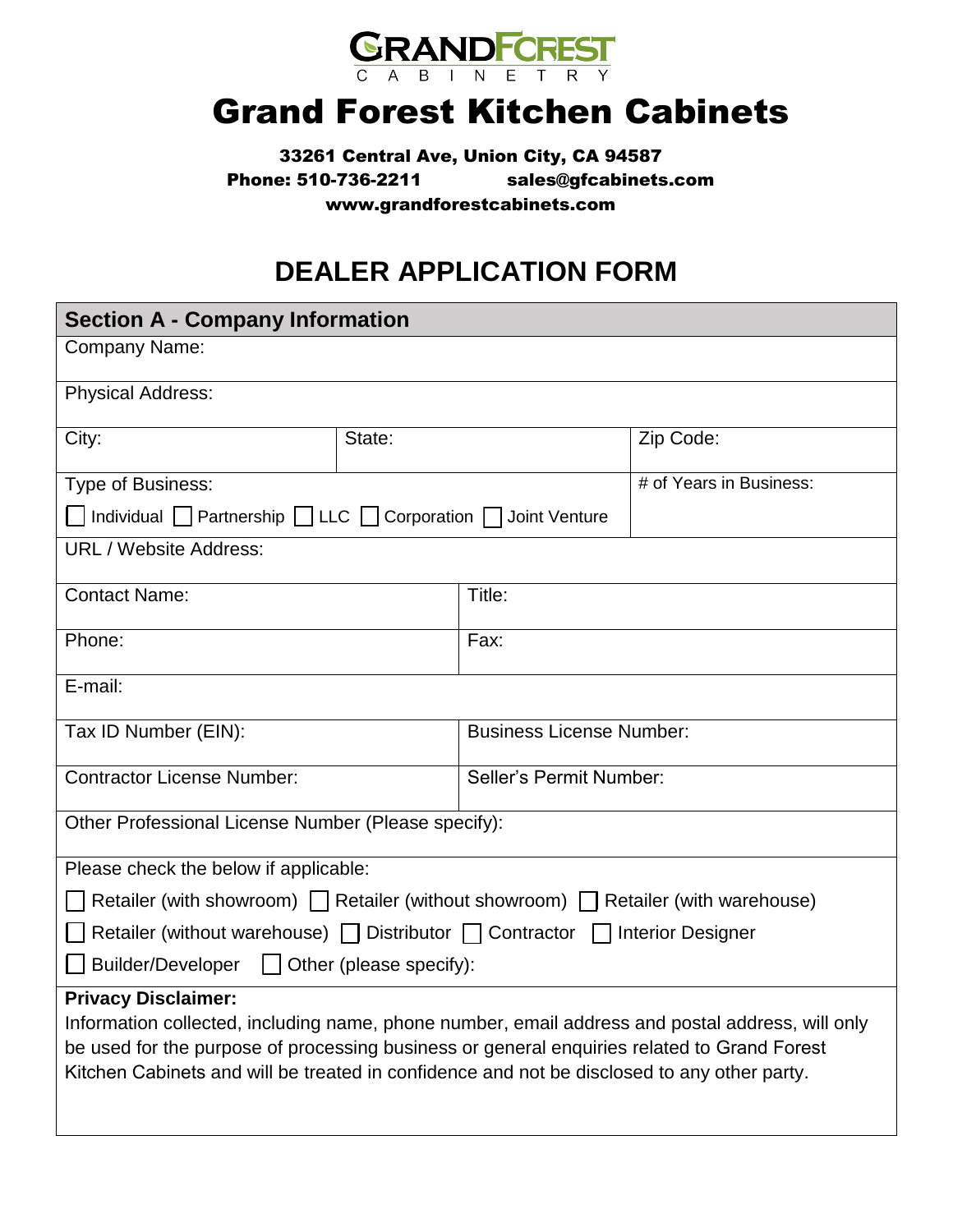

## Grand Forest Kitchen Cabinets

33261 Central Ave, Union City, CA 94587 Phone: 510-736-2211 sales@gfcabine[ts.com](mailto:support@kzkitchen.com) www.grandforestcabinets.com

## **DEALER APPLICATION FORM**

| <b>Section A - Company Information</b>                                                                                                                                                                                                                                                                                       |        |                                 |           |  |  |  |  |
|------------------------------------------------------------------------------------------------------------------------------------------------------------------------------------------------------------------------------------------------------------------------------------------------------------------------------|--------|---------------------------------|-----------|--|--|--|--|
| Company Name:                                                                                                                                                                                                                                                                                                                |        |                                 |           |  |  |  |  |
| <b>Physical Address:</b>                                                                                                                                                                                                                                                                                                     |        |                                 |           |  |  |  |  |
| City:                                                                                                                                                                                                                                                                                                                        | State: |                                 | Zip Code: |  |  |  |  |
| Type of Business:                                                                                                                                                                                                                                                                                                            |        |                                 |           |  |  |  |  |
| Individual   Partnership   LLC   Corporation   Joint Venture                                                                                                                                                                                                                                                                 |        |                                 |           |  |  |  |  |
| <b>URL / Website Address:</b>                                                                                                                                                                                                                                                                                                |        |                                 |           |  |  |  |  |
| <b>Contact Name:</b>                                                                                                                                                                                                                                                                                                         |        | Title:                          |           |  |  |  |  |
| Phone:                                                                                                                                                                                                                                                                                                                       |        | Fax:                            |           |  |  |  |  |
| E-mail:                                                                                                                                                                                                                                                                                                                      |        |                                 |           |  |  |  |  |
| Tax ID Number (EIN):                                                                                                                                                                                                                                                                                                         |        | <b>Business License Number:</b> |           |  |  |  |  |
| <b>Contractor License Number:</b>                                                                                                                                                                                                                                                                                            |        | <b>Seller's Permit Number:</b>  |           |  |  |  |  |
| Other Professional License Number (Please specify):                                                                                                                                                                                                                                                                          |        |                                 |           |  |  |  |  |
| Please check the below if applicable:                                                                                                                                                                                                                                                                                        |        |                                 |           |  |  |  |  |
| Retailer (with showroom) $\Box$ Retailer (without showroom) $\Box$ Retailer (with warehouse)                                                                                                                                                                                                                                 |        |                                 |           |  |  |  |  |
| Retailer (without warehouse)   Distributor   Contractor   Interior Designer                                                                                                                                                                                                                                                  |        |                                 |           |  |  |  |  |
| Builder/Developer   Other (please specify):                                                                                                                                                                                                                                                                                  |        |                                 |           |  |  |  |  |
| <b>Privacy Disclaimer:</b><br>Information collected, including name, phone number, email address and postal address, will only<br>be used for the purpose of processing business or general enquiries related to Grand Forest<br>Kitchen Cabinets and will be treated in confidence and not be disclosed to any other party. |        |                                 |           |  |  |  |  |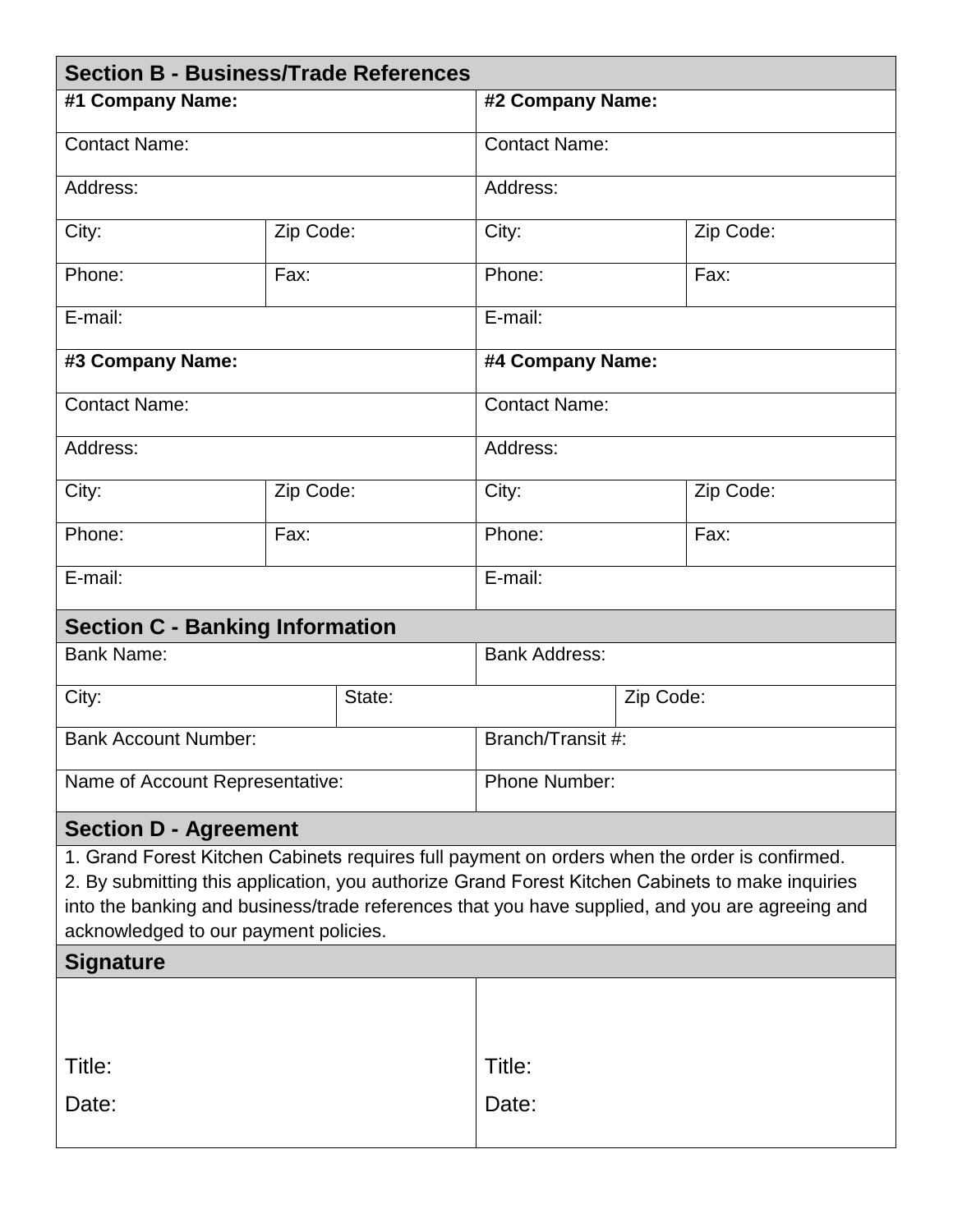| <b>Section B - Business/Trade References</b>                                                                                                                                                                                                                                                                                                  |           |                      |           |  |           |  |  |  |
|-----------------------------------------------------------------------------------------------------------------------------------------------------------------------------------------------------------------------------------------------------------------------------------------------------------------------------------------------|-----------|----------------------|-----------|--|-----------|--|--|--|
| #1 Company Name:                                                                                                                                                                                                                                                                                                                              |           | #2 Company Name:     |           |  |           |  |  |  |
| <b>Contact Name:</b>                                                                                                                                                                                                                                                                                                                          |           | <b>Contact Name:</b> |           |  |           |  |  |  |
| Address:                                                                                                                                                                                                                                                                                                                                      |           | Address:             |           |  |           |  |  |  |
| City:                                                                                                                                                                                                                                                                                                                                         | Zip Code: |                      | City:     |  | Zip Code: |  |  |  |
| Phone:                                                                                                                                                                                                                                                                                                                                        | Fax:      |                      | Phone:    |  | Fax:      |  |  |  |
| E-mail:                                                                                                                                                                                                                                                                                                                                       |           | E-mail:              |           |  |           |  |  |  |
| #3 Company Name:                                                                                                                                                                                                                                                                                                                              |           | #4 Company Name:     |           |  |           |  |  |  |
| <b>Contact Name:</b>                                                                                                                                                                                                                                                                                                                          |           | <b>Contact Name:</b> |           |  |           |  |  |  |
| Address:                                                                                                                                                                                                                                                                                                                                      |           | Address:             |           |  |           |  |  |  |
| City:                                                                                                                                                                                                                                                                                                                                         | Zip Code: |                      | City:     |  | Zip Code: |  |  |  |
| Phone:                                                                                                                                                                                                                                                                                                                                        | Fax:      |                      | Phone:    |  | Fax:      |  |  |  |
| E-mail:                                                                                                                                                                                                                                                                                                                                       |           | $E$ -mail:           |           |  |           |  |  |  |
| <b>Section C - Banking Information</b>                                                                                                                                                                                                                                                                                                        |           |                      |           |  |           |  |  |  |
| <b>Bank Name:</b>                                                                                                                                                                                                                                                                                                                             |           | <b>Bank Address:</b> |           |  |           |  |  |  |
| City:                                                                                                                                                                                                                                                                                                                                         | State:    |                      | Zip Code: |  |           |  |  |  |
| <b>Bank Account Number:</b>                                                                                                                                                                                                                                                                                                                   |           | Branch/Transit #:    |           |  |           |  |  |  |
| Name of Account Representative:                                                                                                                                                                                                                                                                                                               |           | Phone Number:        |           |  |           |  |  |  |
| <b>Section D - Agreement</b>                                                                                                                                                                                                                                                                                                                  |           |                      |           |  |           |  |  |  |
| 1. Grand Forest Kitchen Cabinets requires full payment on orders when the order is confirmed.<br>2. By submitting this application, you authorize Grand Forest Kitchen Cabinets to make inquiries<br>into the banking and business/trade references that you have supplied, and you are agreeing and<br>acknowledged to our payment policies. |           |                      |           |  |           |  |  |  |
| <b>Signature</b>                                                                                                                                                                                                                                                                                                                              |           |                      |           |  |           |  |  |  |
|                                                                                                                                                                                                                                                                                                                                               |           |                      |           |  |           |  |  |  |
| Title:                                                                                                                                                                                                                                                                                                                                        |           | Title:               |           |  |           |  |  |  |
| Date:                                                                                                                                                                                                                                                                                                                                         |           | Date:                |           |  |           |  |  |  |